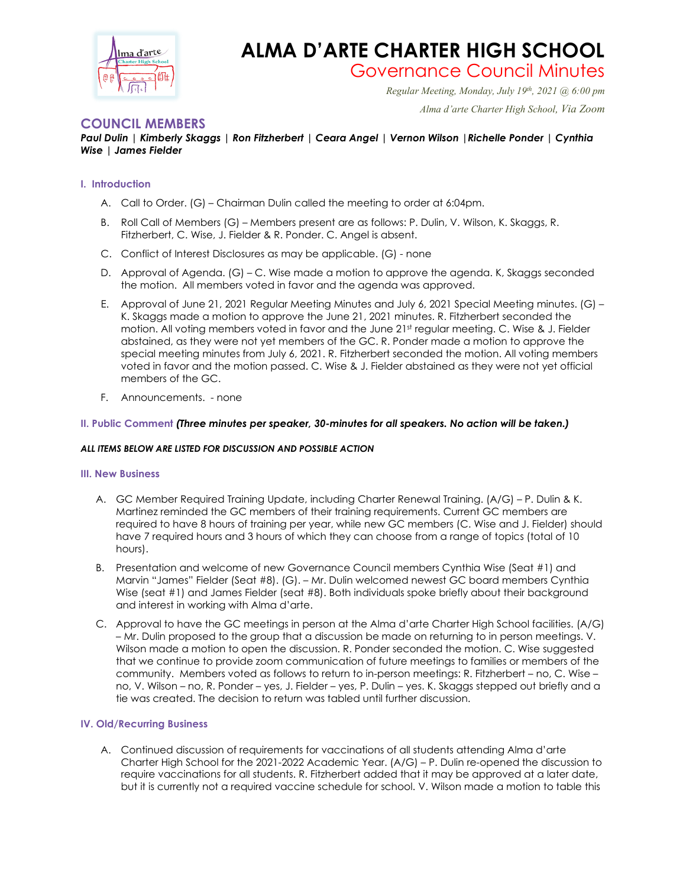

# **ALMA D'ARTE CHARTER HIGH SCHOOL**

Governance Council Minutes *Regular Meeting, Monday, July 19th, 2021 @ 6:00 pm*

 *Alma d'arte Charter High School, Via Zoom*

## **COUNCIL MEMBERS**

### *Paul Dulin | Kimberly Skaggs | Ron Fitzherbert | Ceara Angel | Vernon Wilson |Richelle Ponder | Cynthia Wise | James Fielder*

#### **I. Introduction**

- A. Call to Order. (G) Chairman Dulin called the meeting to order at 6:04pm.
- B. Roll Call of Members (G) Members present are as follows: P. Dulin, V. Wilson, K. Skaggs, R. Fitzherbert, C. Wise, J. Fielder & R. Ponder. C. Angel is absent.
- C. Conflict of Interest Disclosures as may be applicable. (G) none
- D. Approval of Agenda. (G) C. Wise made a motion to approve the agenda. K, Skaggs seconded the motion. All members voted in favor and the agenda was approved.
- E. Approval of June 21, 2021 Regular Meeting Minutes and July 6, 2021 Special Meeting minutes. (G) K. Skaggs made a motion to approve the June 21, 2021 minutes. R. Fitzherbert seconded the motion. All voting members voted in favor and the June 21st regular meeting. C. Wise & J. Fielder abstained, as they were not yet members of the GC. R. Ponder made a motion to approve the special meeting minutes from July 6, 2021. R. Fitzherbert seconded the motion. All voting members voted in favor and the motion passed. C. Wise & J. Fielder abstained as they were not yet official members of the GC.
- F. Announcements. none

#### **II. Public Comment** *(Three minutes per speaker, 30-minutes for all speakers. No action will be taken.)*

#### *ALL ITEMS BELOW ARE LISTED FOR DISCUSSION AND POSSIBLE ACTION*

#### **III. New Business**

- A. GC Member Required Training Update, including Charter Renewal Training. (A/G) P. Dulin & K. Martinez reminded the GC members of their training requirements. Current GC members are required to have 8 hours of training per year, while new GC members (C. Wise and J. Fielder) should have 7 required hours and 3 hours of which they can choose from a range of topics (total of 10 hours).
- B. Presentation and welcome of new Governance Council members Cynthia Wise (Seat #1) and Marvin "James" Fielder (Seat #8). (G). – Mr. Dulin welcomed newest GC board members Cynthia Wise (seat #1) and James Fielder (seat #8). Both individuals spoke briefly about their background and interest in working with Alma d'arte.
- C. Approval to have the GC meetings in person at the Alma d'arte Charter High School facilities. (A/G) – Mr. Dulin proposed to the group that a discussion be made on returning to in person meetings. V. Wilson made a motion to open the discussion. R. Ponder seconded the motion. C. Wise suggested that we continue to provide zoom communication of future meetings to families or members of the community. Members voted as follows to return to in-person meetings: R. Fitzherbert – no, C. Wise – no, V. Wilson – no, R. Ponder – yes, J. Fielder – yes, P. Dulin – yes. K. Skaggs stepped out briefly and a tie was created. The decision to return was tabled until further discussion.

#### **IV. Old/Recurring Business**

A. Continued discussion of requirements for vaccinations of all students attending Alma d'arte Charter High School for the 2021-2022 Academic Year. (A/G) – P. Dulin re-opened the discussion to require vaccinations for all students. R. Fitzherbert added that it may be approved at a later date, but it is currently not a required vaccine schedule for school. V. Wilson made a motion to table this